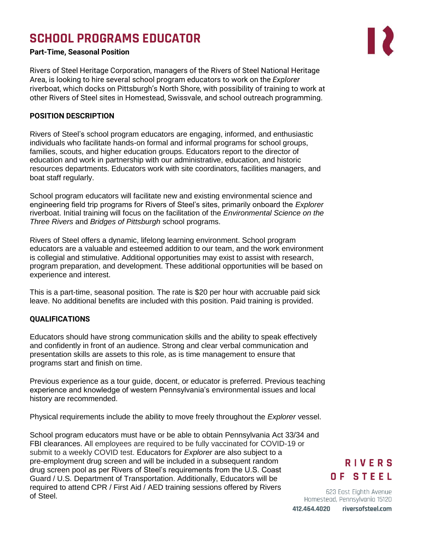# **SCHOOL PROGRAMS EDUCATOR**

### **Part-Time, Seasonal Position**

Rivers of Steel Heritage Corporation, managers of the Rivers of Steel National Heritage Area, is looking to hire several school program educators to work on the *Explorer* riverboat, which docks on Pittsburgh's North Shore, with possibility of training to work at other Rivers of Steel sites in Homestead, Swissvale, and school outreach programming.

### **POSITION DESCRIPTION**

Rivers of Steel's school program educators are engaging, informed, and enthusiastic individuals who facilitate hands-on formal and informal programs for school groups, families, scouts, and higher education groups. Educators report to the director of education and work in partnership with our administrative, education, and historic resources departments. Educators work with site coordinators, facilities managers, and boat staff regularly.

School program educators will facilitate new and existing environmental science and engineering field trip programs for Rivers of Steel's sites, primarily onboard the *Explorer* riverboat. Initial training will focus on the facilitation of the *Environmental Science on the Three Rivers* and *Bridges of Pittsburgh* school programs.

Rivers of Steel offers a dynamic, lifelong learning environment. School program educators are a valuable and esteemed addition to our team, and the work environment is collegial and stimulative. Additional opportunities may exist to assist with research, program preparation, and development. These additional opportunities will be based on experience and interest.

This is a part-time, seasonal position. The rate is \$20 per hour with accruable paid sick leave. No additional benefits are included with this position. Paid training is provided.

### **QUALIFICATIONS**

Educators should have strong communication skills and the ability to speak effectively and confidently in front of an audience. Strong and clear verbal communication and presentation skills are assets to this role, as is time management to ensure that programs start and finish on time.

Previous experience as a tour guide, docent, or educator is preferred. Previous teaching experience and knowledge of western Pennsylvania's environmental issues and local history are recommended.

Physical requirements include the ability to move freely throughout the *Explorer* vessel.

School program educators must have or be able to obtain Pennsylvania Act 33/34 and FBI clearances. All employees are required to be fully vaccinated for COVID-19 or submit to a weekly COVID test. Educators for *Explorer* are also subject to a pre-employment drug screen and will be included in a subsequent random drug screen pool as per Rivers of Steel's requirements from the U.S. Coast Guard / U.S. Department of Transportation. Additionally, Educators will be required to attend CPR / First Aid / AED training sessions offered by Rivers of Steel.

# **RIVERS** OF STEEL

623 East Eighth Avenue Homestead, Pennsylvania 15120 riversofsteel.com 412.464.4020

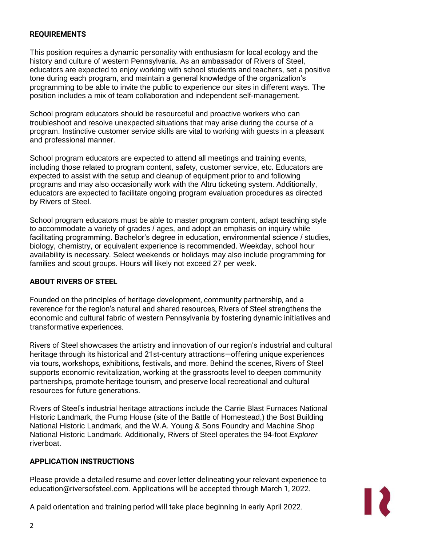## **REQUIREMENTS**

This position requires a dynamic personality with enthusiasm for local ecology and the history and culture of western Pennsylvania. As an ambassador of Rivers of Steel, educators are expected to enjoy working with school students and teachers, set a positive tone during each program, and maintain a general knowledge of the organization's programming to be able to invite the public to experience our sites in different ways. The position includes a mix of team collaboration and independent self-management.

School program educators should be resourceful and proactive workers who can troubleshoot and resolve unexpected situations that may arise during the course of a program. Instinctive customer service skills are vital to working with guests in a pleasant and professional manner.

School program educators are expected to attend all meetings and training events, including those related to program content, safety, customer service, etc. Educators are expected to assist with the setup and cleanup of equipment prior to and following programs and may also occasionally work with the Altru ticketing system. Additionally, educators are expected to facilitate ongoing program evaluation procedures as directed by Rivers of Steel.

School program educators must be able to master program content, adapt teaching style to accommodate a variety of grades / ages, and adopt an emphasis on inquiry while facilitating programming. Bachelor's degree in education, environmental science / studies, biology, chemistry, or equivalent experience is recommended. Weekday, school hour availability is necessary. Select weekends or holidays may also include programming for families and scout groups. Hours will likely not exceed 27 per week.

### **ABOUT RIVERS OF STEEL**

Founded on the principles of heritage development, community partnership, and a reverence for the region's natural and shared resources, Rivers of Steel strengthens the economic and cultural fabric of western Pennsylvania by fostering dynamic initiatives and transformative experiences.

Rivers of Steel showcases the artistry and innovation of our region's industrial and cultural heritage through its historical and 21st-century attractions—offering unique experiences via tours, workshops, exhibitions, festivals, and more. Behind the scenes, Rivers of Steel supports economic revitalization, working at the grassroots level to deepen community partnerships, promote heritage tourism, and preserve local recreational and cultural resources for future generations.

Rivers of Steel's industrial heritage attractions include the Carrie Blast Furnaces National Historic Landmark, the Pump House (site of the Battle of Homestead,) the Bost Building National Historic Landmark, and the W.A. Young & Sons Foundry and Machine Shop National Historic Landmark. Additionally, Rivers of Steel operates the 94-foot *Explorer* riverboat.

### **APPLICATION INSTRUCTIONS**

Please provide a detailed resume and cover letter delineating your relevant experience to education@riversofsteel.com. Applications will be accepted through March 1, 2022.



A paid orientation and training period will take place beginning in early April 2022.